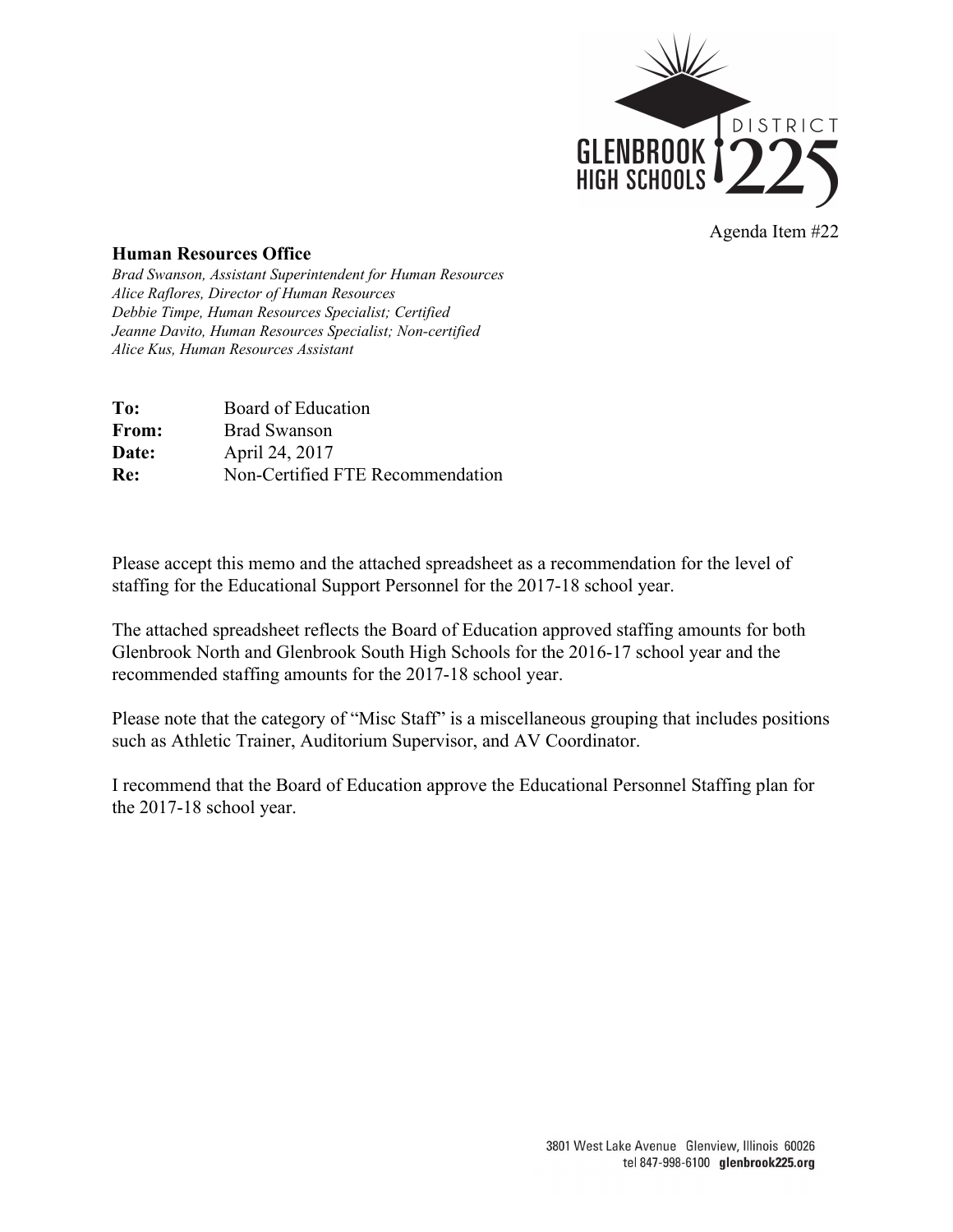

Agenda Item #22

## **Human Resources Office**

*Brad Swanson, Assistant Superintendent for Human Resources Alice Raflores, Director of Human Resources Debbie Timpe, Human Resources Specialist; Certified Jeanne Davito, Human Resources Specialist; Non-certified Alice Kus, Human Resources Assistant* 

| To:   | Board of Education               |
|-------|----------------------------------|
| From: | <b>Brad Swanson</b>              |
| Date: | April 24, 2017                   |
| Re:   | Non-Certified FTE Recommendation |

Please accept this memo and the attached spreadsheet as a recommendation for the level of staffing for the Educational Support Personnel for the 2017-18 school year.

The attached spreadsheet reflects the Board of Education approved staffing amounts for both Glenbrook North and Glenbrook South High Schools for the 2016-17 school year and the recommended staffing amounts for the 2017-18 school year.

Please note that the category of "Misc Staff" is a miscellaneous grouping that includes positions such as Athletic Trainer, Auditorium Supervisor, and AV Coordinator.

I recommend that the Board of Education approve the Educational Personnel Staffing plan for the 2017-18 school year.

> 3801 West Lake Avenue Glenview, Illinois 60026 tel 847-998-6100 glenbrook225.org